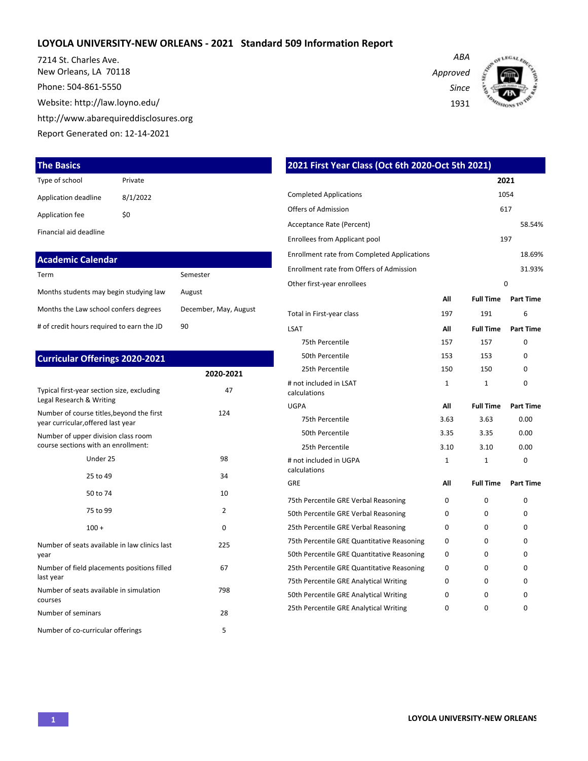### **LOYOLA UNIVERSITY-NEW ORLEANS - 2021 Standard 509 Information Report**

7214 St. Charles Ave. New Orleans, LA 70118 Phone: 504-861-5550

Website: http://law.loyno.edu/

http://www.abarequireddisclosures.org

Report Generated on: 12-14-2021

### **The Basics**

| Type of school       | Private  |
|----------------------|----------|
| Application deadline | 8/1/2022 |
| Application fee      | \$0      |
|                      |          |

Financial aid deadline

| <b>Academic Calendar</b>                  |                       |
|-------------------------------------------|-----------------------|
| Term                                      | Semester              |
| Months students may begin studying law    | August                |
| Months the Law school confers degrees     | December, May, August |
| # of credit hours required to earn the JD | 90                    |

| <b>Curricular Offerings 2020-2021</b>                                           |               |
|---------------------------------------------------------------------------------|---------------|
|                                                                                 | 2020-2021     |
| Typical first-year section size, excluding<br>Legal Research & Writing          | 47            |
| Number of course titles, beyond the first<br>year curricular, offered last year | 124           |
| Number of upper division class room<br>course sections with an enrollment:      |               |
| Under 25                                                                        | 98            |
| 25 to 49                                                                        | 34            |
| 50 to 74                                                                        | 10            |
| 75 to 99                                                                        | $\mathfrak z$ |
| $100 +$                                                                         | $\Omega$      |
| Number of seats available in law clinics last<br>year                           | 225           |
| Number of field placements positions filled<br>last year                        | 67            |
| Number of seats available in simulation<br>courses                              | 798           |
| Number of seminars                                                              | 28            |
| Number of co-curricular offerings                                               | 5             |

| 2021 First Year Class (Oct 6th 2020-Oct 5th 2021)                            |              |                  |                  |
|------------------------------------------------------------------------------|--------------|------------------|------------------|
|                                                                              |              |                  | 2021             |
| <b>Completed Applications</b>                                                |              |                  | 1054             |
| Offers of Admission                                                          |              |                  | 617              |
| Acceptance Rate (Percent)                                                    |              |                  | 58.54%           |
| <b>Enrollees from Applicant pool</b>                                         |              |                  | 197              |
| <b>Enrollment rate from Completed Applications</b>                           |              |                  | 18.69%           |
| Enrollment rate from Offers of Admission                                     |              |                  | 31.93%           |
| Other first-year enrollees                                                   |              |                  | $\Omega$         |
|                                                                              | All          | <b>Full Time</b> | <b>Part Time</b> |
| Total in First-year class                                                    | 197          | 191              | 6                |
| LSAT                                                                         | All          | <b>Full Time</b> | <b>Part Time</b> |
| 75th Percentile                                                              | 157          | 157              | $\Omega$         |
| 50th Percentile                                                              | 153          | 153              | 0                |
| 25th Percentile                                                              | 150          | 150              | 0                |
| # not included in LSAT<br>calculations                                       | $\mathbf{1}$ | 1                | 0                |
| UGPA                                                                         | All          | <b>Full Time</b> | <b>Part Time</b> |
| 75th Percentile                                                              | 3.63         | 3.63             | 0.00             |
| 50th Percentile                                                              | 3.35         | 3.35             | 0.00             |
| 25th Percentile                                                              | 3.10         | 3.10             | 0.00             |
| # not included in UGPA                                                       | $\mathbf{1}$ | 1                | 0                |
| calculations<br>GRE                                                          | Αll          | <b>Full Time</b> | <b>Part Time</b> |
|                                                                              |              | $\Omega$         | 0                |
| 75th Percentile GRE Verbal Reasoning<br>50th Percentile GRE Verbal Reasoning | 0<br>0       | 0                | 0                |
|                                                                              |              |                  |                  |
| 25th Percentile GRE Verbal Reasoning                                         | 0            | 0                | 0                |
| 75th Percentile GRE Quantitative Reasoning                                   | 0            | $\Omega$         | 0                |
| 50th Percentile GRE Quantitative Reasoning                                   | 0            | 0                | 0                |
| 25th Percentile GRE Quantitative Reasoning                                   | 0            | 0                | 0                |
| 75th Percentile GRE Analytical Writing                                       | 0            | 0                | 0                |
| 50th Percentile GRE Analytical Writing                                       | 0            | 0                | 0                |

25th Percentile GRE Analytical Writing  $0$  0 0 0 0

*Approved Since*

*ABA*

1931

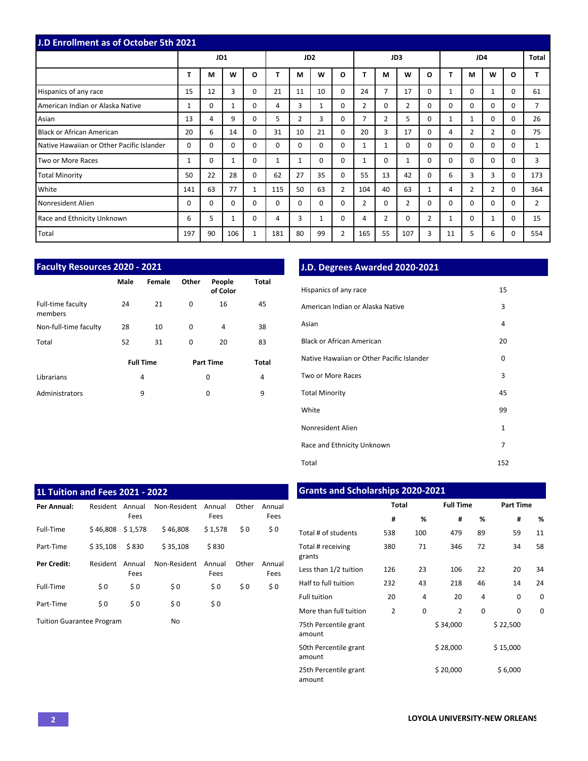| <b>J.D Enrollment as of October 5th 2021</b> |          |          |          |              |              |                 |          |                |                |                |                |                |          |                |                |              |                |
|----------------------------------------------|----------|----------|----------|--------------|--------------|-----------------|----------|----------------|----------------|----------------|----------------|----------------|----------|----------------|----------------|--------------|----------------|
|                                              |          | JD1      |          |              |              | JD <sub>2</sub> |          |                |                |                | JD3            |                |          | JD4            |                |              | Total          |
|                                              | T        | M        | W        | $\mathbf{o}$ |              | M               | W        | O              |                | М              | W              | $\Omega$       | т        | М              | W              | $\mathbf{o}$ |                |
| Hispanics of any race                        | 15       | 12       | 3        | 0            | 21           | 11              | 10       | $\Omega$       | 24             | 7              | 17             | $\Omega$       | 1        | $\Omega$       | 1              | $\Omega$     | 61             |
| American Indian or Alaska Native             | 1        | $\Omega$ |          | 0            | 4            | 3               | 1        | $\Omega$       | $\overline{2}$ | 0              | 2              | $\Omega$       | $\Omega$ | $\Omega$       | $\Omega$       | $\Omega$     |                |
| Asian                                        | 13       | 4        | 9        | 0            | 5.           | $\overline{2}$  | 3        | $\Omega$       | $\overline{7}$ | $\overline{2}$ | 5              | $\Omega$       | 1        | 1              | $\Omega$       | $\Omega$     | 26             |
| Black or African American                    | 20       | 6        | 14       | $\Omega$     | 31           | 10              | 21       | $\Omega$       | 20             | 3              | 17             | $\Omega$       | 4        | $\overline{2}$ | $\overline{2}$ | $\Omega$     | 75             |
| Native Hawaiian or Other Pacific Islander    | 0        | $\Omega$ | $\Omega$ | 0            | $\Omega$     | $\Omega$        | $\Omega$ | $\Omega$       | 1              |                | $\mathbf 0$    | $\Omega$       | $\Omega$ | $\Omega$       | $\Omega$       | 0            |                |
| Two or More Races                            | 1        | $\Omega$ |          | 0            | $\mathbf{1}$ | $\mathbf{1}$    | $\Omega$ | $\Omega$       |                | 0              | 1              | $\Omega$       | 0        | $\Omega$       | $\Omega$       | $\Omega$     | 3              |
| <b>Total Minority</b>                        | 50       | 22       | 28       | $\Omega$     | 62           | 27              | 35       | $\mathbf 0$    | 55             | 13             | 42             | $\Omega$       | 6        | 3              | 3              | $\Omega$     | 173            |
| White                                        | 141      | 63       | 77       | $\mathbf{1}$ | 115          | 50              | 63       | $\overline{2}$ | 104            | 40             | 63             | $\mathbf{1}$   | 4        | 2              | 2              | $\Omega$     | 364            |
| Nonresident Alien                            | $\Omega$ | $\Omega$ | $\Omega$ | $\Omega$     | $\Omega$     | $\Omega$        | $\Omega$ | $\Omega$       | $\overline{2}$ | 0              | $\overline{2}$ | $\Omega$       | $\Omega$ | $\Omega$       | $\Omega$       | $\Omega$     | $\overline{2}$ |
| Race and Ethnicity Unknown                   | 6        | 5        | 1        | 0            | 4            | 3               | 1        | 0              | 4              | 2              | $\mathbf 0$    | $\overline{2}$ | 1        | $\Omega$       | 1              | $\Omega$     | 15             |
| Total                                        | 197      | 90       | 106      | 1            | 181          | 80              | 99       | $\overline{2}$ | 165            | 55             | 107            | 3              | 11       | 5              | 6              | $\Omega$     | 554            |

| <b>Faculty Resources 2020 - 2021</b> |      |                  |          |                    |              |  |  |  |  |  |  |  |  |  |
|--------------------------------------|------|------------------|----------|--------------------|--------------|--|--|--|--|--|--|--|--|--|
|                                      | Male | Female           | Other    | People<br>of Color | Total        |  |  |  |  |  |  |  |  |  |
| Full-time faculty<br>members         | 24   | 21               | $\Omega$ | 16                 | 45           |  |  |  |  |  |  |  |  |  |
| Non-full-time faculty                | 28   | 10               | $\Omega$ | 4                  | 38           |  |  |  |  |  |  |  |  |  |
| Total                                | 52   | 31               | $\Omega$ | 20                 | 83           |  |  |  |  |  |  |  |  |  |
|                                      |      | <b>Full Time</b> |          | <b>Part Time</b>   | <b>Total</b> |  |  |  |  |  |  |  |  |  |
| Librarians                           |      | 4                |          | 0                  | 4            |  |  |  |  |  |  |  |  |  |
| Administrators                       |      | 9                |          | 0                  | 9            |  |  |  |  |  |  |  |  |  |

## **J.D. Degrees Awarded 2020-2021**

| Hispanics of any race                     | 15           |
|-------------------------------------------|--------------|
| American Indian or Alaska Native          | 3            |
| Asian                                     | 4            |
| <b>Black or African American</b>          | 20           |
| Native Hawaiian or Other Pacific Islander | 0            |
| Two or More Races                         | 3            |
| <b>Total Minority</b>                     | 45           |
| White                                     | 99           |
| Nonresident Alien                         | $\mathbf{1}$ |
| Race and Ethnicity Unknown                | 7            |
| Total                                     | 152          |

| <b>1L Tuition and Fees 2021 - 2022</b> |          |                |              |                |       |                |
|----------------------------------------|----------|----------------|--------------|----------------|-------|----------------|
| Per Annual:                            | Resident | Annual<br>Fees | Non-Resident | Annual<br>Fees | Other | Annual<br>Fees |
| Full-Time                              | \$46.808 | \$1,578        | \$46.808     | \$1,578        | \$0   | \$0            |
| Part-Time                              | \$35.108 | \$830          | \$35.108     | \$830          |       |                |
| Per Credit:                            | Resident | Annual<br>Fees | Non-Resident | Annual<br>Fees | Other | Annual<br>Fees |
| Full-Time                              | \$0      | \$0            | \$0          | \$0            | \$0   | \$0            |
| Part-Time                              | \$0      | \$0            | \$0          | \$0            |       |                |
| <b>Tuition Guarantee Program</b>       |          |                | No           |                |       |                |

# **Grants and Scholarships 2020-2021**

|                                 | <b>Total</b>   |     | <b>Full Time</b> |    | <b>Part Time</b> |    |  |  |  |
|---------------------------------|----------------|-----|------------------|----|------------------|----|--|--|--|
|                                 | #              | ℅   | #                | ℅  | #                | %  |  |  |  |
| Total # of students             | 538            | 100 | 479              | 89 | 59               | 11 |  |  |  |
| Total # receiving<br>grants     | 380            | 71  | 346              | 72 | 34               | 58 |  |  |  |
| Less than 1/2 tuition           | 126            | 23  | 106              | 22 | 20               | 34 |  |  |  |
| Half to full tuition            | 232            | 43  | 218              | 46 | 14               | 24 |  |  |  |
| <b>Full tuition</b>             | 20             | 4   | 20               | 4  | 0                | 0  |  |  |  |
| More than full tuition          | $\overline{2}$ | 0   | $\overline{2}$   | 0  | 0                | 0  |  |  |  |
| 75th Percentile grant<br>amount |                |     | \$34,000         |    | \$22,500         |    |  |  |  |
| 50th Percentile grant<br>amount |                |     | \$28,000         |    | \$15,000         |    |  |  |  |
| 25th Percentile grant<br>amount |                |     | \$20,000         |    | \$6,000          |    |  |  |  |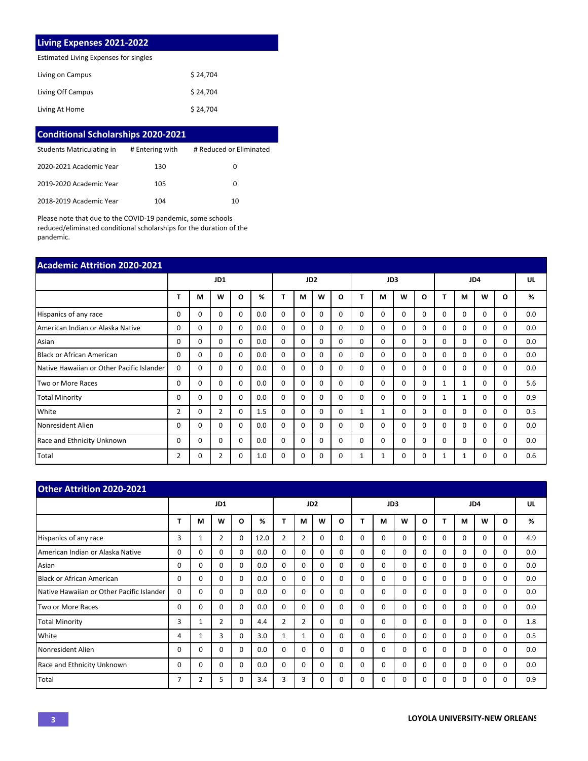### **Living Expenses 2021-2022**

Estimated Living Expenses for singles

| Living on Campus  | \$24.704 |
|-------------------|----------|
| Living Off Campus | \$24.704 |
| Living At Home    | \$24,704 |

| <b>Conditional Scholarships 2020-2021</b> |                 |                         |
|-------------------------------------------|-----------------|-------------------------|
| Students Matriculating in                 | # Entering with | # Reduced or Eliminated |
| 2020-2021 Academic Year                   | 130             | 0                       |
| 2019-2020 Academic Year                   | 105             | 0                       |
| 2018-2019 Academic Year                   | 104             | 10                      |

Please note that due to the COVID-19 pandemic, some schools reduced/eliminated conditional scholarships for the duration of the pandemic.

| <b>Academic Attrition 2020-2021</b>       |                |          |                |          |     |                 |          |          |          |          |          |          |          |          |              |          |          |     |
|-------------------------------------------|----------------|----------|----------------|----------|-----|-----------------|----------|----------|----------|----------|----------|----------|----------|----------|--------------|----------|----------|-----|
|                                           |                | JD1      |                |          |     | JD <sub>2</sub> |          |          | JD3      |          |          |          | JD4      |          |              |          | UL       |     |
|                                           | т              | М        | W              | O        | %   | т               | м        | W        | O        | т        | М        | w        | Ω        |          | M            | W        | O        | %   |
| Hispanics of any race                     | 0              | $\Omega$ | 0              | 0        | 0.0 | 0               | $\Omega$ | $\Omega$ | $\Omega$ | $\Omega$ | $\Omega$ | 0        | $\Omega$ | $\Omega$ | $\Omega$     | $\Omega$ | $\Omega$ | 0.0 |
| American Indian or Alaska Native          | 0              | $\Omega$ | 0              | $\Omega$ | 0.0 | $\Omega$        | 0        | $\Omega$ | $\Omega$ | $\Omega$ | $\Omega$ | $\Omega$ | $\Omega$ | $\Omega$ | $\Omega$     | $\Omega$ | $\Omega$ | 0.0 |
| Asian                                     | 0              | 0        | 0              | $\Omega$ | 0.0 | $\Omega$        | 0        | $\Omega$ | $\Omega$ | $\Omega$ | $\Omega$ | $\Omega$ | $\Omega$ | $\Omega$ | $\Omega$     | $\Omega$ | $\Omega$ | 0.0 |
| <b>Black or African American</b>          | 0              | 0        | 0              | 0        | 0.0 | $\Omega$        | 0        | $\Omega$ | 0        | $\Omega$ | $\Omega$ | $\Omega$ | $\Omega$ | $\Omega$ | $\Omega$     | $\Omega$ | $\Omega$ | 0.0 |
| Native Hawaiian or Other Pacific Islander | 0              | 0        | 0              | 0        | 0.0 | 0               | 0        | $\Omega$ | $\Omega$ | $\Omega$ | $\Omega$ | 0        | $\Omega$ | $\Omega$ | $\Omega$     | $\Omega$ | 0        | 0.0 |
| Two or More Races                         | 0              | 0        | 0              | $\Omega$ | 0.0 | 0               | 0        | $\Omega$ | $\Omega$ | $\Omega$ | $\Omega$ | $\Omega$ | $\Omega$ | 1        | $\mathbf{1}$ | $\Omega$ | $\Omega$ | 5.6 |
| <b>Total Minority</b>                     | 0              | 0        | 0              | 0        | 0.0 | $\Omega$        | 0        | $\Omega$ | 0        | $\Omega$ | $\Omega$ | $\Omega$ | $\Omega$ | 1        | 1            | $\Omega$ | $\Omega$ | 0.9 |
| White                                     | $\overline{2}$ | 0        | $\overline{2}$ | 0        | 1.5 | 0               | 0        | $\Omega$ | 0        | 1        | 1        | 0        | $\Omega$ | $\Omega$ | $\Omega$     | $\Omega$ | $\Omega$ | 0.5 |
| Nonresident Alien                         | 0              | 0        | 0              | 0        | 0.0 | $\Omega$        | 0        | $\Omega$ | 0        | $\Omega$ | $\Omega$ | $\Omega$ | 0        | $\Omega$ | $\Omega$     | $\Omega$ | $\Omega$ | 0.0 |
| Race and Ethnicity Unknown                | 0              | 0        | $\Omega$       | $\Omega$ | 0.0 | $\Omega$        | 0        | $\Omega$ | 0        | $\Omega$ | $\Omega$ | $\Omega$ | $\Omega$ | $\Omega$ | $\Omega$     | $\Omega$ | $\Omega$ | 0.0 |
| Total                                     | $\overline{2}$ | 0        | 2              | 0        | 1.0 | 0               | 0        | 0        | 0        |          | 1        | 0        | $\Omega$ | 1        |              | 0        | 0        | 0.6 |

| <b>Other Attrition 2020-2021</b>          |          |          |          |          |                 |                |                |          |          |          |          |          |          |          |          |              |              |     |
|-------------------------------------------|----------|----------|----------|----------|-----------------|----------------|----------------|----------|----------|----------|----------|----------|----------|----------|----------|--------------|--------------|-----|
|                                           | JD1      |          |          |          | JD <sub>2</sub> |                |                |          | JD3      |          |          |          | JD4      |          |          |              | UL           |     |
|                                           | т        | М        | W        | O        | %               | т              | M              | W        | O        |          | М        | W        | $\Omega$ |          | M        | W            | O            | %   |
| Hispanics of any race                     | 3        | 1        | 2        | 0        | 12.0            | 2              | $\overline{2}$ | $\Omega$ | $\Omega$ | $\Omega$ | $\Omega$ | $\Omega$ | $\Omega$ | $\Omega$ | $\Omega$ | $\Omega$     | 0            | 4.9 |
| American Indian or Alaska Native          | 0        | $\Omega$ | 0        | $\Omega$ | 0.0             | $\Omega$       | $\Omega$       | $\Omega$ | $\Omega$ | $\Omega$ | $\Omega$ | 0        | $\Omega$ | $\Omega$ | $\Omega$ | $\Omega$     | $\Omega$     | 0.0 |
| Asian                                     | 0        | 0        | 0        | 0        | 0.0             | $\Omega$       | $\Omega$       | $\Omega$ | $\Omega$ | $\Omega$ | $\Omega$ | 0        | $\Omega$ | $\Omega$ | $\Omega$ | $\Omega$     | 0            | 0.0 |
| Black or African American                 | 0        | 0        | 0        | $\Omega$ | 0.0             | $\Omega$       | $\Omega$       | $\Omega$ | $\Omega$ | $\Omega$ | 0        | 0        | $\Omega$ | $\Omega$ | $\Omega$ | $\Omega$     | <sup>0</sup> | 0.0 |
| Native Hawaiian or Other Pacific Islander | 0        | 0        | 0        | 0        | 0.0             | 0              | $\mathbf 0$    | $\Omega$ | $\Omega$ | 0        | $\Omega$ | 0        | $\Omega$ | 0        | $\Omega$ | $\Omega$     | 0            | 0.0 |
| Two or More Races                         | 0        | $\Omega$ | $\Omega$ | $\Omega$ | 0.0             | 0              | $\Omega$       | $\Omega$ | $\Omega$ | $\Omega$ | $\Omega$ | 0        | $\Omega$ | $\Omega$ | $\Omega$ | $\Omega$     | $\Omega$     | 0.0 |
| <b>Total Minority</b>                     | 3        | 1        | 2        | $\Omega$ | 4.4             | $\overline{2}$ | $\overline{2}$ | $\Omega$ | $\Omega$ | $\Omega$ | $\Omega$ | 0        | $\Omega$ | $\Omega$ | $\Omega$ | $\Omega$     | 0            | 1.8 |
| White                                     | 4        | 1        | 3        | 0        | 3.0             | 1              | $\mathbf{1}$   | $\Omega$ | 0        | $\Omega$ | $\Omega$ | 0        | $\Omega$ | 0        | $\Omega$ | $\Omega$     | $\Omega$     | 0.5 |
| Nonresident Alien                         | $\Omega$ | $\Omega$ | $\Omega$ | $\Omega$ | 0.0             | $\Omega$       | $\Omega$       | $\Omega$ | $\Omega$ | $\Omega$ | $\Omega$ | 0        | $\Omega$ | $\Omega$ | $\Omega$ | $\Omega$     | $\Omega$     | 0.0 |
| Race and Ethnicity Unknown                | $\Omega$ | $\Omega$ | $\Omega$ | $\Omega$ | 0.0             | $\Omega$       | $\Omega$       | $\Omega$ | $\Omega$ | $\Omega$ | $\Omega$ | $\Omega$ | $\Omega$ | $\Omega$ | $\Omega$ | $\Omega$     | $\Omega$     | 0.0 |
| Total                                     | 7        | 2        | 5        | 0        | 3.4             | 3              | 3              | $\Omega$ | $\Omega$ | $\Omega$ | O        | 0        | $\Omega$ | $\Omega$ | $\Omega$ | <sup>0</sup> | O            | 0.9 |